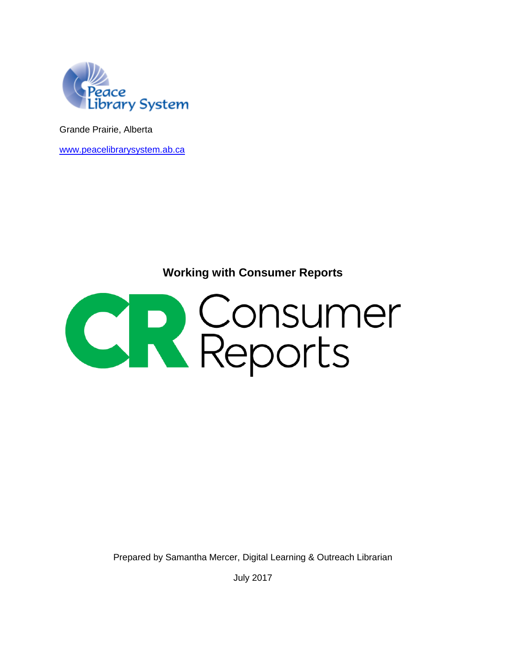

Grande Prairie, Alberta

[www.peacelibrarysystem.ab.ca](http://www.peacelibrarysystem.ab.ca/)

**Working with Consumer Reports**



Prepared by Samantha Mercer, Digital Learning & Outreach Librarian

July 2017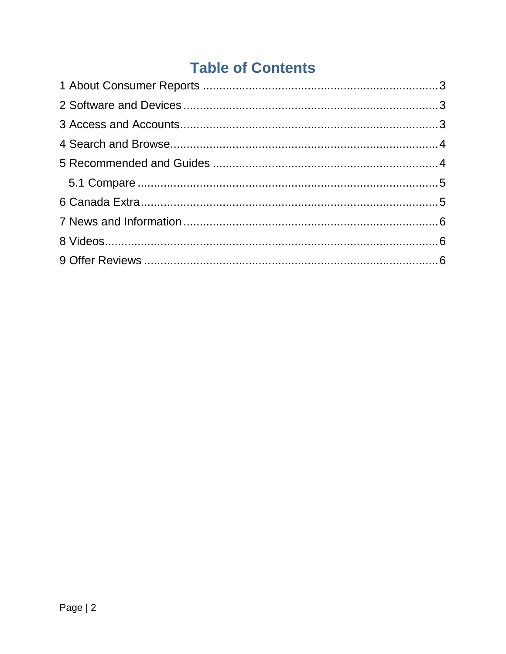# **Table of Contents**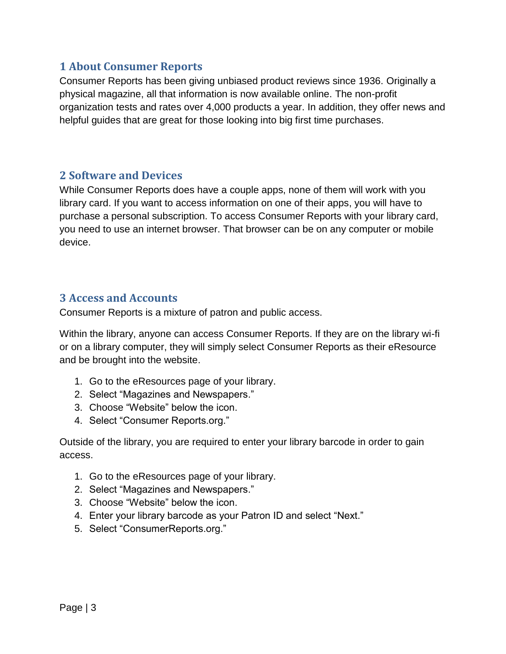## <span id="page-2-0"></span>**1 About Consumer Reports**

Consumer Reports has been giving unbiased product reviews since 1936. Originally a physical magazine, all that information is now available online. The non-profit organization tests and rates over 4,000 products a year. In addition, they offer news and helpful guides that are great for those looking into big first time purchases.

### <span id="page-2-1"></span>**2 Software and Devices**

While Consumer Reports does have a couple apps, none of them will work with you library card. If you want to access information on one of their apps, you will have to purchase a personal subscription. To access Consumer Reports with your library card, you need to use an internet browser. That browser can be on any computer or mobile device.

## <span id="page-2-2"></span>**3 Access and Accounts**

Consumer Reports is a mixture of patron and public access.

Within the library, anyone can access Consumer Reports. If they are on the library wi-fi or on a library computer, they will simply select Consumer Reports as their eResource and be brought into the website.

- 1. Go to the eResources page of your library.
- 2. Select "Magazines and Newspapers."
- 3. Choose "Website" below the icon.
- 4. Select "Consumer Reports.org."

Outside of the library, you are required to enter your library barcode in order to gain access.

- 1. Go to the eResources page of your library.
- 2. Select "Magazines and Newspapers."
- 3. Choose "Website" below the icon.
- 4. Enter your library barcode as your Patron ID and select "Next."
- 5. Select "ConsumerReports.org."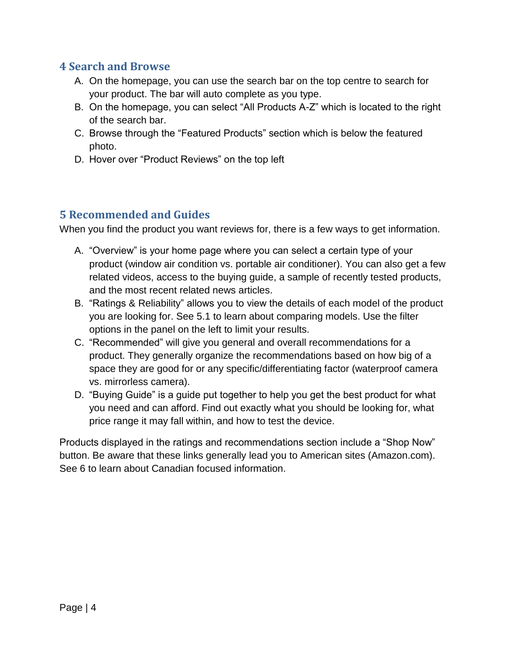## <span id="page-3-0"></span>**4 Search and Browse**

- A. On the homepage, you can use the search bar on the top centre to search for your product. The bar will auto complete as you type.
- B. On the homepage, you can select "All Products A-Z" which is located to the right of the search bar.
- C. Browse through the "Featured Products" section which is below the featured photo.
- D. Hover over "Product Reviews" on the top left

# <span id="page-3-1"></span>**5 Recommended and Guides**

When you find the product you want reviews for, there is a few ways to get information.

- A. "Overview" is your home page where you can select a certain type of your product (window air condition vs. portable air conditioner). You can also get a few related videos, access to the buying guide, a sample of recently tested products, and the most recent related news articles.
- B. "Ratings & Reliability" allows you to view the details of each model of the product you are looking for. See 5.1 to learn about comparing models. Use the filter options in the panel on the left to limit your results.
- C. "Recommended" will give you general and overall recommendations for a product. They generally organize the recommendations based on how big of a space they are good for or any specific/differentiating factor (waterproof camera vs. mirrorless camera).
- D. "Buying Guide" is a guide put together to help you get the best product for what you need and can afford. Find out exactly what you should be looking for, what price range it may fall within, and how to test the device.

Products displayed in the ratings and recommendations section include a "Shop Now" button. Be aware that these links generally lead you to American sites (Amazon.com). See 6 to learn about Canadian focused information.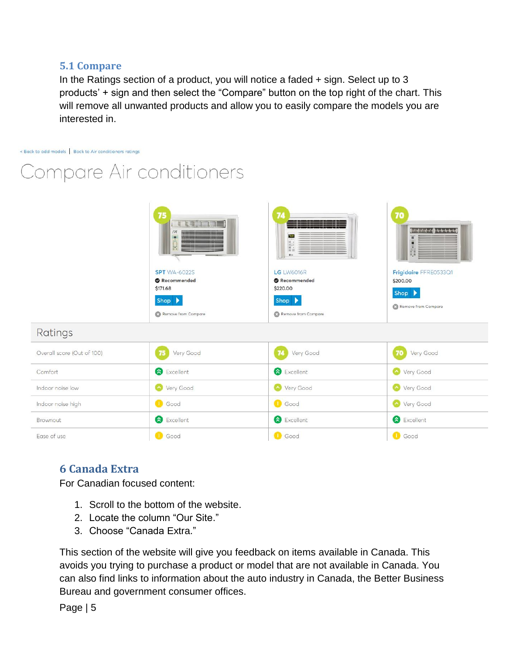#### <span id="page-4-0"></span>**5.1 Compare**

In the Ratings section of a product, you will notice a faded + sign. Select up to 3 products' + sign and then select the "Compare" button on the top right of the chart. This will remove all unwanted products and allow you to easily compare the models you are interested in.

< Back to add models | Back to Air conditioners ratings

Compare Air conditioners

|                            | 75<br><b>TERMINERS</b><br>SPT<br>RO.<br><b>SPT</b> WA-6022S<br><b>Recommended</b><br>\$171.68<br>Shop ><br>Remove from Compare | 77<br>5s<br>$\frac{1}{n}$ is a set of<br>015<br><b>LG</b> LW6016R<br>Recommended<br>\$220.00<br>Shop ><br>Remove from Compare | 70<br>1777711111111<br><b>B</b><br>Frigidaire FFRE0533Q1<br>\$200.00<br>Shop ><br>Remove from Compare |  |
|----------------------------|--------------------------------------------------------------------------------------------------------------------------------|-------------------------------------------------------------------------------------------------------------------------------|-------------------------------------------------------------------------------------------------------|--|
| Ratings                    |                                                                                                                                |                                                                                                                               |                                                                                                       |  |
| Overall score (Out of 100) | Very Good                                                                                                                      | Very Good<br>74                                                                                                               | Very Good<br>70                                                                                       |  |
| Comfort                    | Excellent                                                                                                                      | Excellent                                                                                                                     | Very Good                                                                                             |  |
| Indoor noise low           | Very Good                                                                                                                      | Very Good                                                                                                                     | Very Good                                                                                             |  |
| Indoor noise high          | <b>C</b> Good                                                                                                                  | <b>C</b> Good                                                                                                                 | Very Good                                                                                             |  |
| Brownout                   | Excellent                                                                                                                      | Excellent                                                                                                                     | <b>&amp;</b> Excellent                                                                                |  |
| Ease of use                | <b>I</b> Good                                                                                                                  | <b>U</b> Good                                                                                                                 | <b>O</b> Good                                                                                         |  |

# <span id="page-4-1"></span>**6 Canada Extra**

For Canadian focused content:

- 1. Scroll to the bottom of the website.
- 2. Locate the column "Our Site."
- 3. Choose "Canada Extra."

This section of the website will give you feedback on items available in Canada. This avoids you trying to purchase a product or model that are not available in Canada. You can also find links to information about the auto industry in Canada, the Better Business Bureau and government consumer offices.

Page | 5